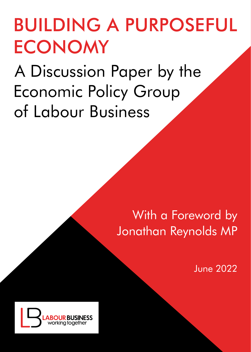## BUILDING A PURPOSEFUL **ECONOMY**

www.labourbusiness.org 1

A Discussion Paper by the Economic Policy Group of Labour Business

## With a Foreword by Jonathan Reynolds MP

June 2022

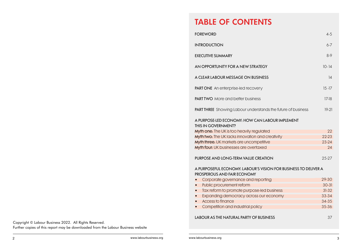### TABLE OF CONTENTS

| <b>FOREWORD</b>                                                                                | $4 - 5$   |
|------------------------------------------------------------------------------------------------|-----------|
| <b>INTRODUCTION</b>                                                                            | $6 - 7$   |
| <b>EXECUTIVE SUMMARY</b>                                                                       | $8-9$     |
| AN OPPORTUNITY FOR A NEW STRATEGY                                                              | $10 - 14$ |
| A CLEAR LABOUR MESSAGE ON BUSINESS                                                             | 14        |
| PART ONE An enterprise-led recovery                                                            | $15 - 17$ |
| <b>PART TWO</b> More and better business                                                       | $17-18$   |
| PART THREE Showing Labour understands the future of business                                   | $19-21$   |
| A PURPOSE-LED ECONOMY: HOW CAN LABOUR IMPLEMENT<br>THIS IN GOVERNMENT?                         |           |
| Myth one: The UK is too heavily regulated                                                      | 22        |
| Myth two: The UK lacks innovation and creativity                                               | $22 - 23$ |
| Myth three: UK markets are uncompetitive                                                       | $23 - 24$ |
| Myth four: UK businesses are overtaxed                                                         | 24        |
| PURPOSE AND LONG-TERM VALUE CREATION                                                           | 25-27     |
| A PURPOSEFUL ECONOMY: LABOUR'S VISION FOR BUSINESS TO DELIVER A<br>PROSPEROUS AND FAIR ECONOMY |           |
| Corporate governance and reporting                                                             | 29-30     |
| Public procurement reform<br>$\bullet$                                                         | $30 - 31$ |
| Tax reform to promote purpose-led business<br>$\bullet$                                        | $31-32$   |
| Expanding democracy across our economy<br>$\bullet$                                            | 33-34     |
| Access to finance                                                                              | 34-35     |
| Competition and industrial policy                                                              | 35-36     |
| <b>LABOUR AS THE NATURAL PARTY OF BUSINESS</b>                                                 | 37        |

Copyright © Labour Business 2022. All Rights Reserved. Further copies of this report may be downloaded from the Labour Business website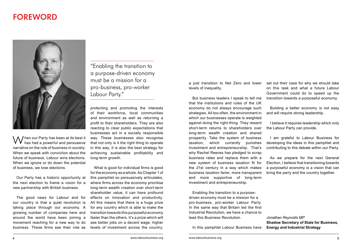### FOREWORD



When our Party has been at its best it has had a powerful and persuasive narrative on the role of business in society. When we speak with conviction about the future of business, Labour wins elections. When we ignore or do down the potential of business, we lose elections.

Our Party has a historic opportunity at the next election to frame a vision for a new partnership with British business.

The good news for Labour and for our country is that a quiet revolution is taking place through our economy. A growing number of companies here and around the world have been joining a movement reaching for a new way to do business. These firms see their role as "Enabling the transition to a purpose-driven economy must be a mission for a pro-business, pro-worker Labour Party."

protecting and promoting the interests of their workforce, local communities and environment as well as returning a profit to their shareholders. They are also reacting to clear public expectations that businesses act in a socially responsible way. These businesses also recognise that not only is it the right thing to operate in this way, it is also the best strategy for achieving sustainable profitability and long-term growth.

What is good for individual firms is good for the economy as a whole. As Chapter 1 of this pamphlet so persuasively articulates, where firms across the economy prioritise long-term wealth creation over short-term shareholder value, it can have profound effects on innovation and productivity. All this means that there is a huge prize for any country which is able to make the transition towards this purposeful economy faster than the others. It's a prize which will see better jobs on a decent wage, higher levels of investment across the country,

a just transition to Net Zero and lower levels of inequality.

But business leaders I speak to tell me that the institutions and rules of the UK economy do not always encourage such strategies. All too often, the environment in which our businesses operate is weighted against doing the right-thing. They reward short-term returns to shareholders over long-term wealth creation and shared prosperity. Take the system of business taxation, which currently punishes investment and entrepreneurship. That's why Rachel Reeves has pledged to scrap business rates and replace them with a new system of business taxation fit for the 21st century in a way which makes business taxation fairer, more transparent and more supportive of long-term investment and entrepreneurship.

Enabling the transition to a purposedriven economy must be a mission for a pro-business, pro-worker Labour Party. In the same way that Britain led the first Industrial Revolution, we have a chance to lead this Business Revolution.

In this pamphlet Labour Business have

set out their case for why we should take on this task and what a future Labour Government could do to speed up the transition towards a purposeful economy.

Building a better economy is not easy and will require strong leadership.

I believe it requires leadership which only the Labour Party can provide.

I am grateful to Labour Business for developing the ideas in this pamphlet and contributing to this debate within our Party.

As we prepare for the next General Election, I believe that transitioning towards a purposeful economy is a vision that can bring the party and the country together.

*Jonathan Reynolds MP*  **Shadow Secretary of State for Business, Energy and Industrial Strategy**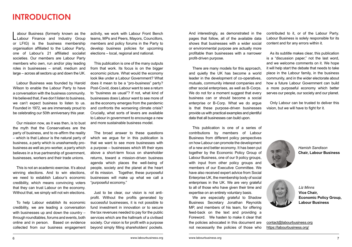### INTRODUCTION

abour Business (formerly known as the<br>
Labour Finance and Industry Group or LFIG) is the business membership organisation affiliated to the Labour Party, one of Labour's 21 affiliated socialist societies. Our members are Labour Party members who own, run and/or play leading roles in businesses – small, medium and large – across all sectors up and down the UK.

Labour Business was founded by Harold Wilson to enable the Labour Party to have a conversation with the business community. He believed that, if we don't listen to business, we can't expect business to listen to us. Founded in 1972, we are immensely proud to be celebrating our 50th anniversary this year.

Our mission now, as it was then, is to bust the myth that the Conservatives are the party of business, and to re-affirm the reality – which is that Labour is the natural party of business, a party which is unashamedly probusiness as well as pro-worker, a party which believes in a true partnership of government, businesses, workers and their trade unions.

This is not an academic exercise. It's about winning elections. And to win elections, we need to establish Labour's economic credibility, which means convincing voters that they can trust Labour on the economy. Without that, we simply will not win elections.

To help Labour establish its economic credibility, we are leading a conversation with businesses up and down the country – through roundtables, forums and events, both online and in person. Based on evidence collected from our business engagement activity, we work with Labour Front Bench teams, MPs and Peers, Mayors, Councillors, members and policy forums in the Party to develop business policies for upcoming elections – local, regional and national.

This publication is one of the many outputs from that work. Its focus is on the bigger economic picture. What would the economy look like under a Labour Government? What does it mean to be a "pro-business" party? Post-Covid, does Labour want to see a return to "business as usual"? If not, what kind of businesses does Labour want to see more of as the economy emerges from the pandemic and confronts the worsening climate crisis? Crucially, what sorts of levers are available to Labour in government to encourage a new and more sustainable business model.

The broad answer to these questions which we argue for in this publication is that we want to see more businesses with a purpose – businesses which lift their eyes above a short-term focus on shareholder returns, toward a mission-driven business agenda which places the well-being of people, society and the planet at the heart of its mission. Together, these purposeful businesses will make up what we call a "purposeful economy."

Just to be clear, our vision is not antiprofit. Without the profits generated by successful businesses, it is not possible to fund investment in innovation or to secure the tax revenues needed to pay for the public services which are the hallmark of a civilised society. Our vision is for profit with a purpose beyond simply filling shareholders' pockets.

And interestingly, as demonstrated in the pages that follow, all of the available data shows that businesses with a wider social or environmental purpose are actually more profitable than businesses with a narrower profit-driven purpose.

There are many models for this approach, and quietly the UK has become a world leader in the development of co-operatives, mutuals, community interest companies and other social enterprises, as well as B-Corps. We do not for a moment suggest that every business can or should become a social enterprise or B-Corp. What we do argue is that these purpose-driven businesses provide us with practical examples and plentiful data that all businesses can build upon.

This publication is one of a series of contributions by members of Labour Business from different policy perspectives on how Labour can promote the development of a new and better economy. It has been put together by the Economic Policy Group of Labour Business, one of our 9 policy groups, with input from other policy groups and members of our Executive Committee. We have also received expert advice from Social Enterprise UK, the membership body of social enterprises in the UK. We are very grateful to all of those who have given their time and expertise on an entirely voluntary basis.

We are especially grateful to Shadow Business Secretary Jonathan Reynolds MP, and members of his team, for offering feed-back on the text and providing a Foreword. We hasten to make it clear that the policies advocated in this document are not necessarily the policies of those who contributed to it, or of the Labour Party. Labour Business is solely responsible for its content and for any errors within it.

As its subtitle makes clear, this publication is a "discussion paper," not the last word, and we welcome comments on it. We hope it will help start the debate that needs to take place in the Labour family, in the business community, and in the wider electorate about how a future Labour Government can build a more purposeful economy which better serves our people, our society and our planet.

Only Labour can be trusted to deliver this vision, but we will have to fight for it.



*Hamish Sandison* **Chair, Labour Business**



*Liz Minns* **Vice Chair, Economic Policy Group, Labour Business**

[contact@labourbusiness.org](mailto:contact%40labourbusiness.org?subject=Labour%20business%20enquires) <https://labourbusiness.org/>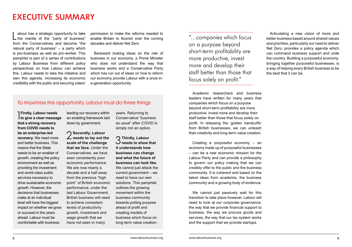### EXECUTIVE SUMMARY

L abour has a strategic opportunity to take the mantle of the "party of business" from the Conservatives and become "the natural party of business" – a party which is pro-business as well as pro-worker. This pamphlet is part of a series of contributions by Labour Business from different policy perspectives on how Labour can achieve this. Labour needs to take the initiative and own this agenda, increasing its economic credibility with the public and securing voters'

permission to make the reforms needed to enable Britain to flourish over the coming decades and deliver Net Zero.

Backward looking ideas on the role of business in our economy, a Prime Minister who does not understand the way that business works and a Conservative Party which has run out of ideas on how to reform our economy provide Labour with a once-ina-generation opportunity.

#### To maximise this opportunity, Labour must do three things

**The Firstly, Labour needs**<br>The give a clear message **Firstly, Labour needs that a strong recovery from COVID needs to be an enterprise-led recovery.** We need more and better business. This means that the State needs to be an enabler of growth, creating the policy environment as well as providing the investment and world-class public services necessary to drive sustainable economic growth. However, the decisions that businesses make at an individual level will have the biggest impact on whether we grow or succeed in the years ahead. Labour must be comfortable with business

leading our recovery within an enabling framework laid down by government.

2**Secondly, Labour needs to lay out the scale of the challenge that we face.** Under the Conservatives, we have seen consistently poor economic performance. We are now nearly a decade and a half away from the previous "high point" of British economic performance, under the last Labour Government. British business will need to achieve consistent levels of productivity growth, investment and wage growth that we have not seen in many

years. Returning to Conservative "business as usual" after COVID is simply not an option.

3**Thirdly, Labour needs to show that it understands how business can change and what the future of business can look like.**  We cannot just attack the current government – we need to have our own solutions. This pamphlet outlines the growing movement within the business community towards putting purpose ahead of profit and creating models of business which focus on long-term value creation.

"…companies which focus on a purpose beyond short-term profitability are more productive, invest more and develop their staff better than those that focus solely on profit."

Academic researchers and business leaders have written for many years that companies which focus on a purpose beyond short-term profitability are more productive, invest more and develop their staff better than those that focus solely on profit. In releasing the 'golden handcuffs' from British businesses, we can unleash their creativity and long-term value creation.

Creating a purposeful economy – an economy made up of purposeful businesses – can be a new economic mission for the Labour Party and can provide a philosophy to govern our policy making that we can credibly offer to the public and the business community. It is coherent and based on the latest ideas from academia, the business community and a growing body of evidence.

We cannot just passively wait for this transition to take place however. Labour will need to look at our corporate governance, the way that we provide financial support to business, the way we procure goods and services, the way that our tax system works and the support that we provide startups.

Articulating a new vision of more and better business based around shared values and priorities, particularly our need to deliver Net Zero, provides a policy agenda which can command business support and unite the country. Building a purposeful economy, bringing together purposeful businesses, is a way of helping every British business to be the best that it can be.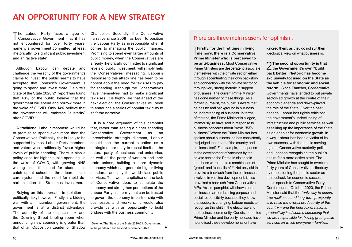### AN OPPORTUNITY FOR A NEW STRATEGY

The Labour Party faces a type of<br>Conservative Government that it has not encountered for over forty years, namely, a government committed, at least rhetorically, to significant public investment and an "active state".

Although Labour can debate and challenge the veracity of the government's claims to invest, the public seems to have accepted that Johnson's Government is going to spend and invest more. Deloitte's State of the State 2020/21 report has found that 48% of the public believe that the government will spend and borrow more in the wake of COVID. Only 14% believe that the government will embrace "austerity" after COVID<sup>1</sup>

A traditional Labour response would be to promise to spend even more than the Conservatives. Politically, this is likely to be supported by most Labour Party members and voters who traditionally favour higher levels of public spending. There is also a policy case for higher public spending. In the wake of COVID, with growing NHS waiting lists, the need for students to catch up at school, a threadbare social care system and the need for rapid decarbonisation - the State must invest more.

Relying on this approach in isolation is politically risky however. Firstly, in a bidding war with an incumbent government, the government is at a distinct advantage. The authority of the dispatch box and the Downing Street briefing room when announcing new spending is greater than that of an Opposition Leader or Shadow Chancellor. Secondly, the Conservative narrative since 2008 has been to position the Labour Party as irresponsible when it comes to managing the public finances. Promising to spend even larger amounts of public money, when the Conservatives are already rhetorically committed to significant levels of public investment, will simply help the Conservatives' messaging. Labour's response to this attack line has been to be honest about the need for tax rises to pay for spending. Although the Conservatives have themselves had to make significant tax rises, it is highly like that ahead of the next election, the Conservatives will seek to announce a series of popular tax cuts to shift the narrative.

It is a core argument of this pamphlet that, rather than seeing a higher spending Conservative Government as an unresolvable strategic dilemma, Labour should see the current situation as a strategic opportunity to recast itself as the natural party of business and enterprise, as well as the party of workers and their trade unions, building a more dynamic economy which can generate higher living standards and pay for world-class public services. This would capitalise on the lack of Conservative ideas to stimulate the economy and strengthen perceptions of the Labour Party as a party that can be trusted to govern the economy in partnership with businesses and workers. It would also provide us with an opportunity to build bridges with the business community.

1 Deloitte, The State of the State 2020-21: Government in the pandemic and beyond, November 2020

#### There are three main reasons for optimism.

1 **Firstly, for the first time in living memory, there is a Conservative Prime Minister who is perceived to be anti-business.** Most Conservative Prime Ministers are desperate to associate themselves with the private sector, either through accentuating their own backstory and connection with the private sector or through very strong rhetoric in support of business. The current Prime Minister has done neither of these things. As a former journalist, the public is aware that he has no real background in business or understanding of business. In terms of rhetoric, the Prime Minister is alleged, infamously, to have said in response to business concerns about Brexit, "f\$!% business." Where the Prime Minister has spoken about business, he has consistently misjudged the mood of the country and business itself. For example, in response to the development of vaccines by the private sector, the Prime Minister said that these were due to a combination of "greed" and "capitalism". 2 Not only did this provoke a backlash from the businesses involved in vaccine development, it also provoked a backlash from Conservative MPs. As this pamphlet will show, more businesses are embracing purpose and social responsibility because they know that society is changing. Labour needs to recognize this shift in the electorate and the business community. Our disconnected Prime Minister and the party he leads have not noticed these developments or have

ignored them, as they do not suit their ideological view on what business is.

2**The second opportunity is that the Government's own "build back better" rhetoric has become exclusively focused on the State as the vehicle for economic and social reform.** Since Thatcher, Conservative Governments have tended to put private sector-led growth at the centre of their economic agenda and down-played the role of the State. Over the past decade, Labour has rightly criticized the government's underfunding of infrastructure and public services as well as talking up the importance of the State as an enabler for economic growth. In a way, Labour has been a victim of its own success, with the public moving against Conservative austerity politics and Johnson recognising the public's desire for a more active state. The Prime Minister has sought to overturn forty years of Conservative orthodoxy by repositioning the public sector as the bedrock for economic success. In his speech to Conservative Party Conference in October 2020, the Prime Minister said that the *"only way to ensure true resilience and long-term prosperity is to raise the overall productivity of the country – and the bedrock of national productivity is of course something that we are responsible for, having great public services on which everyone – families,*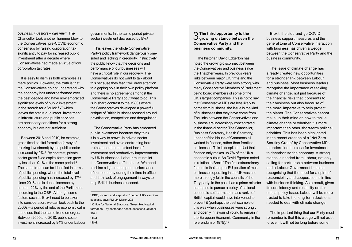*business, investors – can rely.*" The Chancellor took another hammer blow to the Conservatives' pre-COVID economic consensus by raising corporation tax significantly to pay for increased public investment after a decade where Conservatives had made a virtue of low corporation tax rates.

It is easy to dismiss both examples as mere politics. However, the truth is that the Conservatives do not understand why the economy has underperformed over the past decade and have now embraced significant levels of public investment in the search for a "quick fix" which leaves the status quo intact. Investment in infrastructure and public services are necessary conditions for a strong economy but are not sufficient.

Between 2016 and 2019, for example, gross fixed capital formation (a way of tracking investment) by the public sector increased by 9%.3 By contrast, private sector gross fixed capital formation grew by less than 0.1% in the same period.<sup>4</sup> The same trend can be identified in terms of public spending, where the total level of public spending has increased by 17% since 2016 and is due to increase by another 22% by the end of the Parliament according to the OBR. Although some factors such as Brexit need to be taken into consideration, we can look back to the 2000s – a period of relative economic calm – and see that the same trend emerges. Between 2000 and 2010, public sector investment increased by 94% under Labour governments. In the same period private sector investment decreased by 5%.<sup>5</sup>

This leaves the whole Conservative Party's policy framework dangerously onesided and lacking in credibility. Instinctively, the public know that the decisions and performance of our businesses will have a critical role in our recovery. The Conservatives do not want to talk about this because they fear it will draw attention to a gaping hole in their own policy platform and there is no agreement amongst the Conservative Party about what to do. This is in sharp contrast to the 1980s where the Conservatives developed a powerful critique of British business focused around privatisation, competition and deregulation.

The Conservative Party has embraced public investment because they think it is a way to crowd-in private sector investment and avoid confronting hard truths about the persistent lack of investment and productivity improvements by UK businesses. Labour must not let the Conservatives off the hook. We need to shine a light on the poor performance of our economy during their time in office and their lack of engagement in ways to help British business succeed.

2 BBC, 'Greed' and 'capitalism' helped UK's vaccines success, says PM, 24 March 2021 3 Office for National Statistics, Gross fixed capital

formation – by sector and asset, accessed October 2021

4 Ibid.

 $<sup>5</sup>$  Ibid.</sup>

3 **The third opportunity is the growing distance between the Conservative Party and the business community.**

The historian David Edgerton has noted the growing disconnect between the Conservatives and business since the Thatcher years. In previous years, links between major UK firms and the Conservative Party were very strong, with many Conservative Members of Parliament being board members of some of the UK's largest companies. This is not to say that Conservative MPs are less likely to come from business, the issue is the kind of businesses that they have come from. The links between the Conservatives and business are increasingly concentrated in the financial sector. The Chancellor, Business Secretary, Health Secretary, Leader of the House of Commons all worked in finance, rather than frontline businesses. This is despite the fact that finance only makes up 7% of the UK's economic output. As David Egerton noted in relation to Brexit "The first extraordinary feature is that the pro-EU position of most businesses operating in the UK was not more strongly felt in the councils of the Tory party. In the past, had a prime minister attempted to pursue a policy of national economic self-harm, the mass ranks of British capital would have intervened to prevent it (perhaps the best example of this was when businesses were strongly and openly in favour of voting to remain in the European Economic Community in the referendum of 1975)." 6

▶ ▶

Brexit, the stop-and-go COVID business support measures and the general tone of Conservative interaction with business has driven a wedge between the Conservative Party and the business community.

The issue of climate change has already created new opportunities for a stronger link between Labour and business. Most business leaders recognise the importance of tackling climate change, not just because of the financial risks that it presents to their business but also because of the moral imperative to help protect the planet. The Conservatives cannot make up their mind on how to tackle climate change or whether it is more important than other short-term political priorities. This has been highlighted in the recent creation of a "Net Zero Scrutiny Group" by Conservative MPs to undermine the case for investment to decarbonise the economy. A strong stance is needed from Labour, not only calling for partnership between business and a Labour Government but also recognising that the need for a spirit of responsibility and cooperation is in line with business thinking. As a result, given its consistency and reliability on this critical policy issue, Labour will be more trusted to take the long-term decisions needed to deal with climate change.

The important thing that our Party must remember is that this wedge will not exist forever. It will not be long before some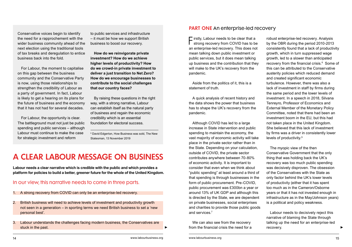Conservative voices begin to identify the need for a rapprochement with the wider business community ahead of the next election using the traditional tools of tax breaks and deregulation to entice business back into the fold.

For Labour, the moment to capitalise on this gap between the business community and the Conservative Party is now, using those relationships to strengthen the credibility of Labour as a party of government. In fact, Labour is likely to get a hearing on its plans for the future of business and the economy that it has not had for several decades.

For Labour, the opportunity is clear. The battleground must not just be public spending and public services – although Labour must continue to make the case for strategic investment and reform

to public services and infrastructure – it must be how we support British business to boost our recovery.

**How do we reinvigorate private investment? How do we achieve higher levels of productivity? How do we crowd-in private investment to deliver a just transition to Net Zero? How do we encourage businesses to contribute to the social challenges that our country faces?**

By raising these questions in the right way, with a strong narrative, Labour can establish itself as the natural party of business and regain the economic credibility which is an essential foundation for electoral success.

6 David Edgerton, How Business was sold, The New Statesman, 13 November 2019

### A CLEAR LABOUR MESSAGE ON BUSINESS

**Labour needs a clear narrative which is credible with the public and which provides a platform for policies to build a better, greener future for the whole of the United Kingdom.** 

#### In our view, this narrative needs to come in three parts.

- 1. A strong recovery from COVID can only be an enterprise-led recovery.
- 2. British business will need to achieve levels of investment and productivity growth not seen in a generation – in sporting terms we need British business to set a 'new personal best'.
- 3. Labour understands the challenges facing modern business, the Conservatives are stuck in the past.

#### PART ONE An enterprise-led recovery

Firstly, Labour needs to be clear that a strong recovery from COVID has to be an enterprise-led recovery. This does not mean talking down public investment or public services, but it does mean talking up business and the contribution that they will make to the UK's recovery from the pandemic.

Aside from the politics of it, this is a statement of truth.

A quick analysis of recent history and the data shows the power that business has to shape the UK's recovery from the pandemic.

Although COVID has led to a large increase in State intervention and public spending to maintain the economy, the vast majority of economic activity will take place in the private sector rather than in the State. Depending on your calculation, outside of COVID, the private sector contributes anywhere between 70-80% of economic activity. It is important to consider that even when we think about "public spending" at least around a third of that spending is through businesses in the form of public procurement. Pre-COVID, public procurement was £300bn a year or around 13% of UK GDP and although this is directed by the State, we are dependent on private businesses, social enterprises and charities to provide those public goods and services.7

We can also see from the recovery from the financial crisis the need for a robust enterprise-led recovery. Analysis by the OBR during the period 2010-2013 consistently found that a lack of productivity growth, which in turn suppressed wage growth, led to a slower than anticipated recovery from the financial crisis.<sup>8</sup> Some of this can be attributed to the Conservative austerity policies which reduced demand and created significant economic turbulence. However, there was also a lack of investment in staff by firms during the same period and the lower levels of investment. In a speech in 2018, Silvana Tenreyro, Professor of Economics and External Member of the Monetary Policy Committee, noted that there had been an investment boom in the EU, but this had not taken place in the United Kingdom. She believed that this lack of investment by firms was a driver in consistently lower levels of productivity.9

The myopic view of the then Conservative Government that the only thing that was holding back the UK's recovery was too much public spending was decisively disproven. The obsession of the Conservatives with the State as only factor behind the UK's lower levels of productivity (either that it has spent too much as in the Cameron/Osborne years or that it has not invested enough in infrastructure as in the May/Johnson years) is a political and policy weakness.

Labour needs to decisively reject this narrative of blaming the State through talking up the need for an enterprise-led recovery.

▶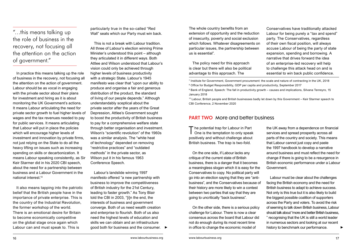"…this means talking up the role of business in the recovery, not focusing all the attention on the action of government."

In practice this means talking up the role of business in the recovery, not focusing all the attention on the action of government. Labour should be as vocal in engaging with the private sector about their plans for investment and hiring as it is about monitoring the UK Government's actions. It means Labour articulating the need for private sector growth to fuel higher levels of wages and the tax revenues needed to pay for public services. It means articulating that Labour will put in place the policies which will encourage higher levels of investment and innovation by private firms, not just relying on the State to do all the heavy lifting on issues such as increasing spending on skills or decarbonization. It means Labour speaking consistently, as Sir Keir Starmer did in his 2020 CBI speech, about the need for a partnership between business and a Labour Government in the national interest<sup>10</sup>

It also means tapping into the patriotic belief that the British people have in the importance of private enterprise. This is the country of the Industrial Revolution, the former workshop of the world. There is an emotional desire for Britain to become economically competitive on the global stage once again which Labour can and must speak to. This is

particularly true in the so-called "Red Wall" seats which our Party must win back.

This is not a break with Labour tradition. All three of Labour's election winning Prime Minister's understood this point – although they articulated it in different ways. Both Attlee and Wilson understood that Labour's vision could only be achieved through higher levels of business productivity with a strategic State. Labour's 1945 manifesto was clear that "upon our ability to produce and organise a fair and generous distribution of the product, the standard of living of our people depends." Although understandably sceptical about the private sector after the years of the Great Depression, Attlee's Government sought to boost the productivity of British business to pay for a comprehensive welfare state through better organisation and investment. Wilson's "scientific revolution" of the 1960s was a similar analysis. The "white heat of technology" depended on removing "restrictive practices" and "outdated methods" in the private sector, as Wilson put it in his famous 1963 Conference Speech.

Labour's landslide winning 1997 manifesto offered "a new partnership with business to improve the competitiveness of British industry for the 21st Century, leading to faster growth." As Tony Blair told the CBI in 2003, "[i]n the end, the interests of business and government converge. Both of us need wealth creation and enterprise to flourish. Both of us also need the highest levels of education and skills we can obtain and an infrastructure good both for business and the consumer. The whole country benefits from an extension of opportunity and the reduction of insecurity, poverty and social exclusion which follows. Whatever disagreements on particular issues, the partnership between us is essential".

The policy need for this approach is clear but there will also be political advantage to this approach. The

Conservatives have traditionally attacked Labour for being purely a "tax and spend" party. The Conservatives, regardless of their own fiscal position, will always accuse Labour of being the party of state expansion, spending and borrowing. A narrative that drives forward the idea of an enterprise-led recovery will help to challenge this attack head on and is essential to win back public confidence.

7 Institute for Government, Government procurement: the scale and nature of contracting in the UK, 2018 8 Office for Budget Responsibility, GDP per capita and productivity, September 2017

 $^{\circ}$  Bank of England, Speech: The fall in productivity growth – causes and implications, Silvana Tenreyro, 15 January 2018

10 Labour, British people and British businesses badly let down by this Government – Keir Starmer speech to CBI Conference, 2 November 2020

#### PART TWO More and better business

The potential trap for Labour in Part<br>
One is the temptation to only speak positively and without challenge about British business. The trap is two-fold.

On the one side, if Labour lacks any critique of the current state of British business, there is a danger that it becomes a meaningless slogan which it is easy for the Conservatives to copy. No political party will go into an election saying that they are "antibusiness", and the Conservatives because of their history are more likely to win a contest between two parties that say that they are going to uncritically "back business".

On the other side, there is a serious policy challenge for Labour. There is now a clear consensus across the board that Labour did not do enough during its most recent time

the UK away from a dependence on financial services and spread prosperity across all parts of the country and society. This means that Labour cannot just copy and paste the 1997 handbook to develop a narrative around business and must reflect the need for change if there is going to be a resurgence in British economic performance under a Labour Government.

▶ ▶ in office to change the economic model of Labour must be clear about the challenges facing the British economy and the need for British business to adapt to achieve success. Not only is this true but it is also likely to build the biggest possible coalition of supporters across the Party and voters. To avoid the risk of seeming to talk down British business, Labour should talk about "more and better British business, " recognising that the UK is still a world leader in numerous sectors and looking at our recent history to benchmark our performance.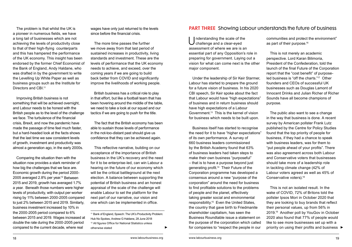The problem is that whilst the UK is a pioneer in numerous fields, we have a long tail of businesses which are not achieving the levels of productivity close to that of their high-flying counterparts and this has hampered the performance of the UK economy. This insight has been endorsed by the former Chief Economist of the Bank of England, Andy Haldane, who was drafted in by the government to write the Levelling Up White Paper as well as business groups such as the Institute for Directors and CBI<sup>11</sup>

Improving British business is not something that will be achieved overnight, and Labour needs to be honest with the British people as to the level of the challenge we face. The turbulence of the financial crisis, Brexit, and now the pandemic have made the passage of time feel much faster, but a hard-headed look at the facts shows that the last time we saw consistent levels of growth, investment and productivity was almost a generation ago, in the early 2000s.

Comparing the situation then with the situation now provides a stark reminder of how big the challenges that we face are. Economic growth during the period 2000- 2005 averaged 2.8% per year.<sup>12</sup> Between 2015 and 2019, growth has averaged 1.7% a year. Beneath those numbers were higher levels of productivity, with output per worker rising by 11% between 2000-2005 compared to just 2% between 2015 and 2019. Similarly, business investment increased by 10% in the 2000-2005 period compared to 6% between 2015 and 2019. Wages increased at double the rate during the 2000-2005 period

wages have only just returned to the levels since before the financial crisis.

The more time passes the further we move away from that last period of sustained increases in productivity, living standards and investment. These are the levels of performance that the UK economy needs to achieve, and exceed, over the coming years if we are going to build back better from COVID and significantly improve the livelihoods of working people.

British business has a critical role to play in that effort, but like a football team that has been hovering around the middle of the table, we need to take a look at our squad and our tactics if we are going to push for the title.

The fact that the British economy has been able to sustain those levels of performance in the not-too-distant past should give us confidence that they can be achieved again.

This reflective narrative, building on our acceptance of the importance of British business in the UK's recovery and the need for it to be enterprise-led, can win Labour a hearing on the future of our economy which will be the critical battleground at the next election. A balance between supporting the potential of British business and an honest appraisal of the scale of the challenge will enable Labour to set the platform for the next part of our narrative, our vision and one which can be implemented in office.

11 Bank of England, Speech: The UK's Productivity Problem: Hub No Spokes, Andrew G Haldane, 28 June 2018 <sup>12</sup> All figures Office for National Statistics unless otherwise stated

#### **PART THREE** Showing Labour understands the future of business

Understanding the scale of the challenge and a clear-eyed assessment of where we are is an essential part of any Opposition's role in preparing for government. Laying out a vision for what can come next is the other major component.

Under the leadership of Sir Keir Starmer, Labour has started to prepare the ground for a future vision of business. In his 2020 CBI speech, Sir Keir spoke about the fact that Labour would have "high expectations" of business and in return business should have high expectations of a Labour Government.13 This is the kernel of vision for business which needs to be built upon.

compared to the current decade, where real otherwise stated **Developed A COM Develope** for companies to "respect the people in our priority on using their profits and business ▶ Business itself has started to recognise the need for it to have "higher expectations" of its own performance. A survey of 660 business leaders commissioned by the British Academy found that 63% of business leaders had taken steps to make their own business "purposeful" – that is to have a purpose beyond just generating profit.14 Their Future of the Corporation programme has developed a consensus around a new "purpose of the corporation" around the need for business to find profitable solutions to the problems of people and the planet, effectively taking greater social and environmental responsibility.15 Even the United States, the country that gave birth to Friedmanite shareholder capitalism, has seen the Business Roundtable issue a statement on the purpose of the corporation which called for companies to "respect the people in our

communities and protect the environment" as part of their purpose.<sup>16</sup>

This is not merely an academic perspective. Lord Karan Bilimoria, President of the Confederation, told the launch of the final Future of the Corporation report that the "cost benefit" of purposeled business is "off the charts."17 Other founders and CEOs of successful UK businesses such as Douglas Lamont of Innocent Drinks and Julian Richer of Richer Sounds have all become champions of purpose.

The public also want to see a change in the way that business is done. A recent survey by American pollster Frank Lutz published by the Centre for Policy Studies found that the top priority of people for business, if they had a chance to speak with business leaders, was for them to "put people ahead of your profits". There was also agreement across both Labour and Conservative voters that businesses should take more of a leadership role in tackling climate change (42% of Labour voters agreed as well as 45% of Conservative voters).18

This is not an isolated result. In the wake of COVID, 72% of Britons told the pollster Ipsos Mori in October 2020 that they are looking to buy brands that reflect their personal values, up from 56% in 2019.19 Another poll by YouGov in October 2020 also found that 77% of people would like to see more businesses set up with a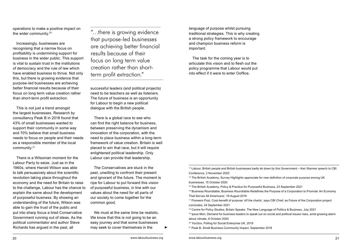operations to make a positive impact on the wider community.20

Increasingly, businesses are recognising that a narrow focus on profitability is undermining support for business in the wider public. This support is vital to sustain trust in the institutions of democracy and the rule of law which have enabled business to thrive. Not only this, but there is growing evidence that purpose-led businesses are achieving better financial results because of their focus on long term value creation rather than short-term profit extraction.

This is not just a trend amongst the largest businesses. Research by consultancy Peak B in 2018 found that 43% of small businesses wanted to support their community in some way and 70% believe that small business needs to focus on people and their needs as a responsible member of the local community.21

There is a Wilsonian moment for the Labour Party to seize. Just as in the 1960s, where Harold Wilson was able to talk persuasively about the scientific revolution taking place throughout the economy and the need for Britain to raise to the challenge, Labour has the chance to explain the same about the development of purposeful business. By showing an understanding of the future, Wilson was able to gain the trust of the public and put into sharp focus a tired Conservative Government running out of ideas. As the political commentator and author Steve Richards has arqued in the past, all

"…there is growing evidence that purpose-led businesses are achieving better financial results because of their focus on long term value creation rather than shortterm profit extraction."

successful leaders (and political projects) need to be teachers as well as listeners. The future of business is an opportunity for Labour to begin a new political dialogue with the British people.

There is a global race to see who can find the right balance for business, between preserving the dynamism and innovation of the corporation, with the need to place business within a long-term framework of value creation. Britain is well placed to win that race, but it will require enlightened political leadership. Only Labour can provide that leadership.

The Conservatives are stuck in the past, unwilling to confront their present and ignorant of the future. The moment is ripe for Labour to put forward this vision of purposeful business, in line with our values about the need for all parts of our society to come together for the common good.

We must at the same time be realistic. We know that this is not going to be an easy journey and that some businesses may seek to cover themselves in the

language of purpose whilst pursuing traditional strategies. This is why creating a strong policy framework to encourage and champion business reform is important.

The task for the coming year is to articulate this vision and to flesh out the policy programme that Labour would put into effect if it were to enter Ooffice.

<sup>14</sup> The British Academy, Survey Highlights appreciate for new definition of corporate purpose among UK businesses, 15 October 2020

15 The British Academy, Policy & Practice for Purposeful Business, 23 September 2021

<sup>16</sup> Business Roundtable, Business Roundtable Redefines the Purpose of a Corporation to Promote 'An Economy That Serves All Americans', 19 August 2019

<sup>17</sup> Pioneers Post, Cost-benefit of purpose 'off the charts', says CBI Chief, as Future of the Corporation project concludes, 24 September 2021

<sup>13</sup> Labour, British people and British businesses badly let down by this Government – Keir Starmer speech to CBI Conference, 2 November 2020

<sup>18</sup> Centre for Policy Studies, Britain Speaks: The New Language of Politics & Business, July 2021

<sup>19</sup> Ipsos Mori, Demand for business leaders to speak out on social and political issues rises, amid growing alarm about climate, 8 October 2020

<sup>20</sup> YouGov, Polling for Social Enterprise UK, 2019

<sup>21</sup> Peak B, Small Business Community Impact, September 2018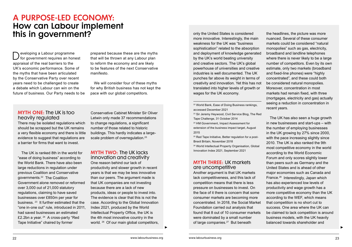### A PURPOSE-LED ECONOMY: How can Labour implement this in government?

D eveloping a Labour programme<br>  $\bigcirc$  for government requires an honest appraisal of the real barriers to the UK's economic performance. Some of the myths that have been articulated by the Conservative Party over recent years need to be challenged to create a debate which Labour can win on the future of business. Our Party needs to be prepared because these are the myths that will be thrown at any Labour plan to reform the economy and are likely to be features of the next Conservative manifesto.

We will consider four of these myths for why British business has not kept the pace with our global competitors.

#### MYTH ONE: The UK is too heavily regulated

There may be isolated regulations which should be scrapped but the UK remains a very flexible economy and there is little evidence to suggest that regulations are a barrier for firms that want to invest.

The UK is ranked 8th in the world for "ease of doing business" according to the World Bank. There have also been large reductions in regulation under previous Coalition and Conservative governments.22 The Coalition Government alone removed or reformed over 3,000 out of 21,000 statutory regulations, claiming to have saved businesses over £850m per year for business. 23 It further estimated that the "one in-one out" rule, introduced in 2011, had saved businesses an estimated £2.2bn a year. 24 A cross-party "Red Tape Initiative" chaired by former

Conservative Cabinet Minister Sir Oliver Letwin only made 37 recommendations to change regulations, a significant number of those related to historic buildings. This hardly indicates a largescale problem of overregulation.<sup>25</sup>

#### MYTH TWO: The UK lacks innovation and creativity

One reason behind our lack of productivity and slower growth in recent years is that we may be less innovative than our peers. The argument made is that UK companies are not investing because there are a lack of new products, ideas or people to invest into. The evidence is clear that this is not the case. According to the Global Innovation Index 2021, produced by the World Intellectual Property Office, the UK is the 4th most innovative country in the world. <sup>26</sup> Of our main global competitors.

only the United States is considered more innovative. Interestingly, the main weakness for the UK was "business sophistication" related to the absorption and deployment of knowledge generated by the UK's world beating university and creative sectors. The UK's global powerhouse of universities and creative industries is well documented. The UK punches far above its weight in terms of creativity and innovation. Yet this has not translated into higher levels of growth or wages for the UK economy.

22 World Bank, Ease of Doing Business rankings, accessed December 2021

- 23 Sir Jeremy Heywood, Civil Service Blog, The Red Tape Challenge, 31 October 2014
- 24 HM Government, Impact Assessment for extension of the business impact target, August 2015

<sup>25</sup> Red Tape Initiative, Better regulation for a post-Brexit Britain, November 2018

26 World Intellectual Property Organisation, Global Innovation Index 2021, September 2021

#### MYTH THREE: UK markets are uncompetitive

Another argument is that UK markets lack competitiveness, and this lack of competition means that there is less pressure on businesses to invest. On the face of it there is concern that some consumer markets are becoming more concentrated. In 2018, the Social Market Foundation carried out analysis that found that 8 out of 10 consumer markets were dominated by a small number of large companies.<sup>27</sup> But beneath

the headlines, the picture was more nuanced. Several of these consumer markets could be considered "natural monopolies" such as gas, electricity, broadband and landline telephones where there is never likely to be a large number of competitors. Even by its own estimate, only two markets (broadband and fixed-line phones) were "highly concentrated", and these could both be considered natural monopolies. Moreover, concentration in most markets had remain fixed, with three (mortgages, electricity and gas) actually seeing a reduction in concentration in recent years.

▶ ▶ The UK has also seen a huge growth in new businesses and start-ups – with the number of employing businesses in the UK growing by 27% since 2000, with the pace increasing slightly since 2010. The UK is also ranked the 9th most competitive economy in the world according to the World Economic Forum and only scores slightly lower than peers such as Germany and the United States and is ahead of other major economies such as Canada and France.28 Interestingly, Japan which has also experienced low levels of productivity and wage growth has a more competitive economy than the UK according to the WEF, which means that competition is no short cut to success. One area where the UK can be claimed to lack competition is around business models, with the UK heavily balanced towards shareholder and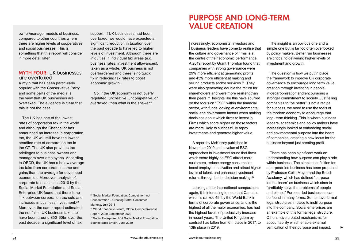owner/manager models of business, compared to other countries where there are higher levels of cooperatives and social businesses. This is something that this report will consider in more detail later.

#### MYTH FOUR: UK businesses are overtaxed

A myth that has been particularly popular with the Conservative Party and some parts of the media is the view that UK businesses are overtaxed. The evidence is clear that this is not the case.

The UK has one of the lowest rates of corporation tax in the world and although the Chancellor has announced an increase in corporation tax, the UK will still have the lowest headline rate of corporation tax in the G7. The UK also provides tax privileges to business owners and managers over employees. According to OECD, the UK has a below average tax take from corporate income and gains than the average for developed economies. Moreover, analysis of corporate tax cuts since 2010 by the Social Market Foundation and Social Enterprise UK found that there is no link between corporation tax cuts and increases in business investment.<sup>29</sup> Moreover, the same report estimated the net fall in UK business taxes to have been around £50-60bn over the past decade, a significant level of tax

support. If UK businesses had been overtaxed, we would have expected a significant reduction in taxation over the past decade to have led to higher levels of investment. Although there are iniquities in individual tax areas (e.g. business rates, investment allowances), taken as a whole, UK business is not overburdened and there is no quick fix in reducing tax rates to boost economic growth.

So, if the UK economy is not overly regulated, uncreative, uncompetitive, or overtaxed, then what is the answer?

27 Social Market Foundation, Competition, not Concentration – Creating Better Consumer Markets, July 2018

28 World Economic Forum, Global Competitiveness Report, 2020, September 2020

29 Social Enterprise UK & Social Market Foundation, Bounce Back Britain, June 2020

### PURPOSE AND LONG-TERM VALUE CREATION

Increasingly, economists, investors and<br>business leaders have come to realise that ncreasingly, economists, investors and the culture and governance of firms is at the centre of their economic performance. A 2019 report by Grant Thornton found that companies with strong governance were 29% more efficient at generating profits and 43% more efficient at making and selling products and/or services.<sup>30</sup> They were also generating double the return for shareholders and were more resilient than their peers.31 Insights like this have spurred on the focus on "ESG" within the financial sector, with funds looking at environmental, social and governance factors when making decisions about which firms to invest in. Firms which score higher on these factors are more likely to successfully repay investments and generate higher value.

A report by McKinsey published in November 2019 on the value of ESG approaches to investment found that firms which score highly on ESG attract more customers, reduce energy consumption, boost employee motivation and attract higher levels of talent, and enhance investment returns through better decision making.32

Looking at our international comparators again, it is interesting to note that Canada, which is ranked 4th by the World Bank in terms of corporate governance, and is the highest of all the major economies, has had the highest levels of productivity increase in recent years. The United Kingdom by contrast has fallen from 6th place in 2017, to 13th place in 2019.

The insight is an obvious one and a simple one but is far too often overlooked by policy makers. Better run businesses are critical to delivering higher levels of investment and growth.

The question is how we put in place the framework to improve UK corporate governance to encourage long term value creation through investing in people, in decarbonisation and encouraging a stronger commitment to society. Just telling companies to "be better" is not a recipe for success, we need to use the tools of the modern economy to encourage that long- term thinking. This is where business leaders, academics and policy makers have increasingly looked at embedding social and environmental purpose into the heart of companies, creating a new locus for the business beyond just creating profit.

There has been significant work on understanding how purpose can play a role within business. The simplest definition for a purpose-led business has been proposed by Professor Colin Mayer and the British Academy, which has defined "purposeled business" as business which aims to "profitably solve the problems of people and planet." Purpose-led businesses can be found in many forms. Some have formal legal structures in place to instil purpose into the company. Social enterprises are an example of this formal legal structure. Others have created mechanisms for accountability which enable external verification of their purpose and impact,

▶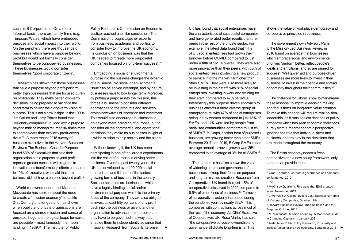such as B Corporations. On a more informal basis, there are family firms (e.g. Timpson, Wates) which have embedded purpose and social impact into their work. On the periphery there are thousands of businesses which have a purpose beyond profit but would not formally consider themselves to be purpose-led businesses. These businesses would consider themselves "good corporate citizens".

Research has shown that those businesses that have a purpose beyond profit perform better than businesses that are focused purely on profitability. They make better long-term decisions, being prepared to sacrifice the short term to deliver their long-term vision of success. This is not a new insight. In the 1990s, Jim Collins and Jerry Porras found that "visionary companies" (guided with a purpose beyond making money) returned six times more to shareholders than explicitly profit-driven rivals.33 A more recent 2015 survey of business executives in the Harvard Business Review's The Business Case for Purpose found 53% of executives that said their organisation had a purpose beyond profit reported greater success with regards to innovation and transformation efforts compared to 19% of executives who said that their business did not have a purpose beyond profit. <sup>34</sup>

World renowned economist Mariana Mazzucato has spoken about the need to create a "mission economy" to tackle 21st Century challenges and has shown when public and private organisations are focused on a shared mission and sense of purpose, huge technological leaps forwards are possible – most famously, the moon landing in 1969.35 The Institute for Public

Policy Research's Commission on Economic Justice reached a similar conclusion. The Commission brought together experts from business, academia, and politics to consider how to improve the UK economy. Its conclusion on business was that the UK needed to "create more purposeful companies focused on long-term success".36

Embedding a social or environmental purpose into the business changes the dynamic of a business. No social or environmental issue can be solved overnight, and by nature businesses have to look longer term. Moreover, by putting a purpose into the mission, this forces a business to consider different approaches to the products and services, driving new waves of innovation and investment. This would also encourage businesses to go beyond mere branding of purpose, but to consider all the commercial and operational decisions they make as businesses in light of a wider mission to help society and the planet.

Without knowing it, the UK has been participating in one of the largest experiments into the value of purpose in driving better business. Over the past twenty years, the UK has developed over 100,000 social enterprises, and it is one of the fastest growing forms of business in the country. Social enterprises are businesses which have a legally binding social and/or environmental purpose which is the primary focus of the company. They are also obliged to invest at least fifty per cent of any profit back into the business or give to another organisation to advance their purpose, and they have to be governed in a way that enables them to independently advance that mission. Research from Social Enterprise

UK has found that social enterprises have the characteristics of successful companies and have generated better results than their peers in the rest of the private sector. For example, the latest data found that 44% of UK social enterprises had grown their turnover before COVID, compared to just under a fifth of SMEs overall. They were also more innovative than their peers, with 66% of social enterprises introducing a new product or service into the market, far higher than other SMEs. They were also more likely to be investing in their staff, with 81% of social enterprises investing in work and training for their staff compared to 47% of SMEs. Interestingly this purpose driven approach to business attracts a more diverse group of entrepreneurs, with 47% of social enterprises being led by women compared to just 18% of SMEs, and 14% were led by people from racialised communities compared to just 8% of SMEs.37 B-Corps, another form of purposeful business, are growing faster than other SMEs. Between 2017 and 2019, B Corp SMEs' mean average annual turnover growth was 25% compared to an average of 3% for all SMEs.38

The pandemic has also shown the value of widening control and governance of businesses to keep their focus on purpose and long-term value creation. Research from Co-operatives UK found that just 1.5% of co-operatives dissolved in 2020 compared to 6.5% of other kinds of business.39 Turnover of co-operatives actually increased during the pandemic year, by nearly 3%.<sup>40</sup> This compares with contractions across most of the rest of the economy. As Chief Executive of Cooperatives UK, Rose Marley has said "the co-operative purpose, ownership and governance all dictate long-termism." This **▶ justice: A plan for the new economy, September 2018** ▶ institute: A plan for the new economy, September 2018

shows the value of workplace democracy and co-operative principles in business.

The government's own Advisory Panel to the Mission-Led Business Review in 2016 found on average that businesses which embrace social and environmental priorities "perform better, reflect people's ideals and ambitions, and so are primed for success". Well governed and purpose-driven businesses are more likely to invest in their business, to invest in their people and spread opportunity throughout their communities.41

The challenge for Labour is how to mainstream these lessons, to improve decision making and focus firms on long-term value creation. To make this change will require real political leadership, as it runs against decades of policy orthodoxy which has seen economic challenges purely from a macroeconomic perspective, ignoring the role that individual firms and business leaders play in the decisions that are made throughout the economy.

The British economy needs a fresh perspective and a new policy framework, only Labour can provide these.

30 Grant Thornton, Corporate governance and company performance, 2019 31 Ibid. 32 McKinsey Quarterly, Five ways that ESG creates value, November 2019 33 J. Porras & J. Collins, Built to Last: Successful Habits of Visionary Companies, October 1994 <sup>34</sup> Harvard Business Review, The Business Case for Purpose, October 2015 35 M. Mazzucato, Mission Economy: A Moonshot Guide to Changing Capitalism, January 2021 36 Institute for Public Policy Research, Prosperity and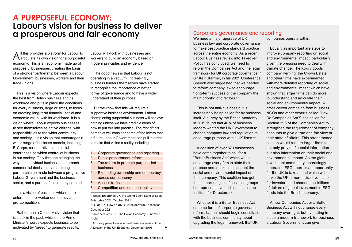### A PURPOSEFUL ECONOMY: Labour's vision for business to deliver a prosperous and fair economy

 $A$ ll this provides a platform for Labour to<br> $A$ articulate its own vision for a purposeful economy. This is an economy made up of purposeful businesses, creating the basis of a stronger partnership between a Labour Government, businesses, workers and their trade unions.

This is a vision where Labour expects the best from British business and its workforce and puts in place the conditions for every business, large or small, to focus on creating long-term financial, social and economic value, with its workforce. It is a vision where Labour expects businesses to see themselves as active citizens, with responsibilities to the wider community and society. It is a vision that encourages a wider range of business models, including B-Corps, co-operatives and social enterprises, to widen control of business in our society. Only through changing the way that individual businesses approach commercial decisions can a strong partnership be made between a progressive Labour Government and the business sector, and a purposeful economy created.

It is a vision of business which is proenterprise, pro-worker democracy and pro-competition.

Rather than a Conservative vision that is stuck in the past, which in the Prime Minister's words expects business to be motivated by "greed" to generate results,

Labour will work with businesses and workers to build an economy based on modern principles and evidence.

The good news is that Labour is not operating in a vacuum. Increasingly, business leaders themselves have started to recognise the importance of better forms of governance and to have a wider understand of their purpose.

But we know that this will require a supportive business environment. Labour championing purposeful business will achieve nothing unless we have credible ideas of how to put this into practice. The rest of this pamphlet will consider some of the levers that a future Labour Government can pull in order to make that vision a reality including:

- 1. Corporate governance and reporting
- 2. Public procurement reform
- 3. Tax reform to promote purpose-led business
- 4. Expanding ownership and democracy across our economy
- 5. Access to finance
- 6. Competition and industrial policy

37 Social Enterprise UK, No Going Back: State of Social Enterprise 2021, October 2021

38 B Lab UK, How do UK B Corps perform?, accessed December 2021

39 Co-operatives UK, The Co-op Economy, June 2021 40 Ibid.

41 Advisory panel to mission-led business review, One A Mission in the UK Economy, December 2016

#### Corporate governance and reporting

We need a major upgrade of UK business law and corporate governance to make best practice standard practice across the entire economy. As a recent Labour Business review into Takeover Policy has concluded, we need to reform the Companies Act and the legal framework for UK corporate governance.<sup>42</sup> Sir Keir Starmer, in his 2021 Conference Speech also suggested that we needed to reform company law to encourage "long-term success of the company the main priority" of directors.43

This is not anti-business but is increasingly being called for by business itself. A survey by the British Academy in 2019 found that 40% of business leaders wanted the UK Government to change company law and regulation to encourage purpose within UK firms.<sup>44</sup>

A coalition of over 870 businesses have come together to call for a "Better Business Act" which would encourage every firm to state their purpose and to take into account the social and environmental impact of their company. This coalition has got the support not just of business groups but representative bodies such as the Institute for Directors.45

Whether it is a Better Business Act or some form of corporate governance reform, Labour should begin consultation with the business community about upgrading the legal framework that UK

▶ ▶

companies operate within.

Equally as important are steps to improve company reporting on social and environmental impact, particularly given the pressing need to deal with climate change. The luxury goods company Kerning, the Crown Estate, and other firms have experimented with more detailed reporting of social and environmental impact which have shown that larger firms can do more to understand and articulate their social and environmental impact. A cross-sector campaign from business, NGOs and other experts called "How Do Companies Act?" has called for Section 396 of the Companies Act to strengthen the requirement of company accounts to give a true and fair view of their state of affairs. This strengthened section would require larger firms to not only provide financial information but also information on their social and environmental impact. As the global investment community increasingly embraces ESG, there is an opportunity for the UK to take a lead which will make the UK a more attractive place for investors and channel the trillions of dollars of global investment in ESG funds into the British economy.

A new Companies Act or a Better Business Act will not change every company overnight, but by putting in place a modern framework for business a Labour Government can give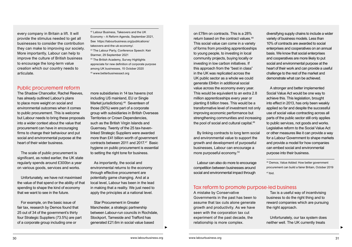every company in Britain a lift. It will provide the stimulus needed to get all businesses to consider the contribution they can make to improving our society. More importantly, Labour can help to improve the culture of British business to encourage the long-term value creation which our country needs to articulate.

#### Public procurement reform

The Shadow Chancellor, Rachel Reeves, has already outlined Labour's plans to place more weight on social and environmental outcomes when it comes to public procurement. This is welcome but Labour needs to bring these proposals into a wider context about the value that procurement can have in encouraging firms to change their behaviour and put social and environmental purpose at the heart of their wider business.

The scale of public procurement is significant, as noted earlier, the UK state regularly spends around £300bn a year on various goods, services and works.

Unfortunately, we have not maximised the value of that spend or the ability of that spending to shape the kind of economy that we want to see in the future.

For example, on the basic issue of fair tax, research by Demos found that 25 out of 34 of the government's thirty four Strategic Suppliers (73.5%) are part of a corporate group including one or

42 Labour Business, Takeovers and the UK Economy – A Reform Agenda, September 2021, See https://labourbusiness.org/publications/ takeovers-and-the-uk-economy/.

- 43 The Labour Party, Conference Speech: Keir Starmer, 29 September 2021
- 44 The British Academy, Survey Highlights appreciate for new definition of corporate purpose among UK businesses, 15 October 2020 45 www.betterbusinessact.org

more subsidiaries in 14 tax havens (not including US mainland, EU or Single Market jurisdictions).<sup>46</sup> Seventeen of those (50%) were part of a corporate group with subsidiaries in British Overseas Territories or Crown Dependencies, such as the British Virgin Islands and Guernsey. Twenty of the 25 tax-havenlinked Strategic Suppliers were awarded more than £41 billion worth of government contracts between 2011 and 2017.47 Basic hygiene on public procurement is essential to setting the right tone for business.

As importantly, the social and environmental returns to the economy through effective procurement are potentially game changing. And at a local level, Labour has been in the lead in making that a reality. We just need to apply the principles at a national level.

Star Procurement in Greater Manchester, a strategic partnership between Labour-run councils in Rochdale, Stockport, Tameside and Trafford has generated £21.6m in social value based

on £78m on contracts. This is a 28% return based on the contract values.<sup>48</sup> This social value can come in a variety of forms from providing apprenticeships to young people, to investing in local community projects, buying locally or investing in low carbon initiatives. If this approach from the "best in class" in the UK was replicated across the UK public sector as a whole we could generate £84bn in additional social value across the economy every year. This would be equivalent to an extra 2.8 million apprenticeships every year or planting 8 billion trees. This would be a transformative level of investment not only improving economic performance but strengthening communities and increasing the pool of social and cultural capital.<sup>49</sup>

By linking contracts to long term social and environmental value to support the growth and development of purposeful businesses, Labour can encourage a more purposeful economy.50

Labour can also do more to encourage competition between businesses around social and environmental impact through

diversifying supply chains to include a wider variety of business models. Less than 10% of contracts are awarded to social enterprises and cooperatives on an annual basis. We know that social enterprises and cooperatives are more likely to put social and environmental purpose at the heart of their work and can provide a useful challenge to the rest of the market and demonstrate what can be achieved.

A stronger and better implemented Social Value Act would be one way to achieve this. This legislation, brought into effect in 2013, has only been weakly applied so far and despite the successful use of social value contracting across all parts of the public sector still only applies to public services, not goods and works. Legislative reform to the Social Value Act or other measures like it can provide a way for a Labour Government to shape markets and provide a model for how companies can embed social and environmental purpose into their business.

46 Demos, Value Added: How better government procurement can build a fairer Britain, October 2019 47 Ibid.

#### Tax reform to promote purpose-led business

▶ ▶

A mistake by Conservative Governments in the past has been to assume that tax cuts alone generate growth and productivity. As we have seen with the corporation tax cut experiment of the past decade, the relationship is more complex.

Tax is a useful way of incentivising business to do the right thing and to reward companies which are pursuing the right approach.

Unfortunately, our tax system does neither well. The UK currently treats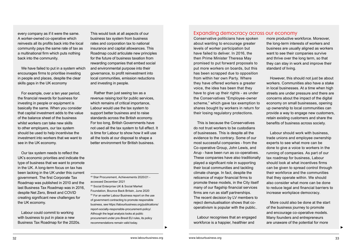every company as if it were the same. A worker-owned co-operative which reinvests all its profits back into the local community pays the same rate of tax as a multinational firm which puts nothing back into the community.

We have failed to put in a system which encourages firms to prioritise investing in people and places, despite the clear skills gaps in the UK economy

For example, over a ten year period, the financial rewards for business for investing in people or equipment is basically the same. When you consider that capital investment adds to the value of the balance sheet of the business whilst workers can take new skills to other employers, our tax system should be used to help incentivise the investment into workers that we want to see in the UK economy.

Our tax system needs to reflect the UK's economic priorities and indicate the type of business that we want to promote in the UK. A long-term focus on tax has been lacking in the UK under this current government. The first Corporate Tax Roadmap was published in 2010 and the last Business Tax Roadmap was in 2016, despite Net Zero, Brexit and COVID creating significant new challenges for the UK economy.

Labour could commit to working with business to put in place a new Business Tax Roadmap for the 2020s.

This would look at all aspects of our business tax system from business rates and corporation tax to national insurance and capital allowances. This Roadmap could articulate new principles for the future of business taxation from rewarding companies that embed social and environmental purpose into their governance, to profit reinvestment into local communities, emission reductions and investing in people.

Rather than just seeing tax as a revenue raising tool for public services, which remains of critical importance, Labour would use the tax system to support better business and to raise standards across the British economy. For too long, British Governments have not used all the tax system to full effect. It is time for Labour to show how it will use all the tools at our disposal to shape a better environment for British business.

48 Star Procurement, Achievements 2020/21 accessed December 2021

49 Social Enterprise UK & Social Market Foundation, Bounce Back Britain, June 2020 50 For an earlier Labour Business report on the use of government contracting to promote responsible business, see https://labourbusiness.org/publications/ report-socially-responsible-procurement-policy/. Although the legal analysis looks at public procurement under pre-Brexit EU rules, its policy recommendations remain valid today.

#### Expanding democracy across our economy

Conservative politicians have spoken about wanting to encourage greater levels of worker participation but have failed to deliver. In 2016, the then Prime Minister Theresa May promised to put forward proposals to put more workers on boards, but this has been scrapped due to opposition from within her own Party. Where they have offered workers a greater voice, the idea has been that they have to give up their rights - as under the Conservatives "Employee-owner scheme," which gave tax exemption to shares bought by workers in return for their losing regulatory protections.

This is because the Conservatives do not trust workers to be custodians of businesses. This is despite all the evidence to the contrary. Some of our most successful companies - from the Co-operative Group, John Lewis, and Arup - have been run as co-operatives. These companies have also traditionally played a significant role in supporting their local communities and tackling climate change. In fact, despite the reticence of major financial firms to promote these models, in the City itself many of our flagship financial services firms are run as staff partnerships. The recent decision by LV members to reject demutualisation shows that cooperativism is popular with the public..

Labour recognises that an engaged workforce is a happier, healthier and

▶ ▶

more productive workforce. Moreover, the long-term interests of workers and business are usually aligned as workers want to see their companies survive and thrive over the long term, so that they can stay in work and improve their standard of living.

However, this should not just be about workers. Communities also have a stake in local businesses. At a time when high streets are under pressure and there are concerns about the impact of the digital economy on small businesses, opening up ownership to local communities can provide a way to engage new customers, retain existing customers and share the benefits of business across society.

Labour should work with business, trade unions and employee ownership experts to see what more can be done to give a voice to workers in the running of companies. As part of our tax roadmap for business, Labour should look at what incentives firms can be given to spread control through their workforce and the communities that they operate within. We should also consider what more can be done to reduce legal and financial barriers to increase workplace democracy.

More could also be done at the start of the business journey to promote and encourage co-operative models. Many founders and entrepreneurs are unaware of the potential for more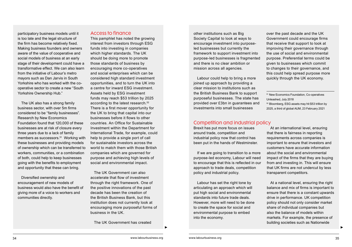participatory business models until it is too late and the legal structure of the firm has become relatively fixed. Making business founders and owners aware of the value of cooperative and social models of business at an early stage of their development could have a transformative effect. We can also learn from the initiative of Labour's metro mayors such as Dan Jarvis in South Yorkshire who has worked with the cooperative sector to create a new "South Yorkshire Ownership Hub."

The UK also has a strong family business sector, with over 5m firms considered to be "family businesses". Research by New Economics Foundation found that 120,000 of these businesses are at risk of closure every three years due to a lack of family members as successors.<sup>51</sup> Working with these businesses and providing models of ownership which can be transferred to workers, communities, or a combination of both, could help to keep businesses going with the benefits to employment and opportunity that these can bring.

Diversified ownership and encouragement of new models of business would also have the benefit of giving more of a voice to workers and communities directly.

#### Access to finance

This pamphlet has noted the growing interest from investors through ESG funds into investing in companies which higher standards. The UK should be doing more to promote those standards of business by encouraging more co-operatives and social enterprises which can be considered high standard investment opportunities, and to turn the UK into a centre for inward ESG investment. Assets held by ESG investment funds may reach \$53 trillion by 2025 according to the latest research.<sup>52</sup> There is a first mover opportunity for the UK to bring that capital into our businesses before it flows to other countries. An Office for Sustainable Investment within the Department for International Trade, for example, could help to provide a single port of call for sustainable investors across the world to match them with those British companies which are governed for purpose and achieving high levels of social and environmental impact.

The UK Government can also accelerate that flow of investment through the right framework. One of the positive innovations of the past decade has been the creation of the British Business Bank, but this institution does not currently look at encouraging more purposeful forms of business in the UK.

The UK Government has created

other institutions such as Big Society Capital to look at ways to encourage investment into purposeled businesses but currently the framework to support investment into purpose-led businesses is fragmented and there is no clear ambition or mission across all agencies.

Labour could help to bring a more joined up approach by providing a clear mission to institutions such as the British Business Bank to support purposeful businesses. The state has provided over £3bn in guarantees and investments into small businesses

#### Competition and industrial policy

Brexit has put more focus on issues around trade, competition and industrial policy now that control has been put in the hands of Westminster.

If we are going to transition to a more purpose-led economy, Labour will need to encourage that this is reflected in our approach to trade deals, competition policy and industrial policy.

Labour has set the right tone by articulating an approach which will put high social and environmental standards into future trade deals. However, more will need to be done to create the space for social and environmental purpose to embed into the economy.

▶ ▶

over the past decade and the UK Government could encourage firms that receive that support to look at improving their governance through the use of social and environmental purpose. Preferential terms could be given to businesses which commit to changes to their governance, and this could help spread purpose more quickly through the UK economy.

51 New Economics Foundation, Co-operatives Unleashed, July 2018

52 Bloomberg, ESG assets may hit \$53 trillion by 2025, a third of global AUM, 23 February 2021

At an international level, ensuring that there is fairness in reporting requirements across companies is important to ensure that investors and customers have accurate information about the social and environmental impact of the firms that they are buying from and investing in. This will ensure that UK firms are not undercut by less transparent competitors.

At a national level, ensuring the right balance and mix of firms is important to ensure that there is a constant upwards drive in performance. UK competition policy should not only consider market share of individual companies but also the balance of models within markets. For example, the presence of building societies such as Nationwide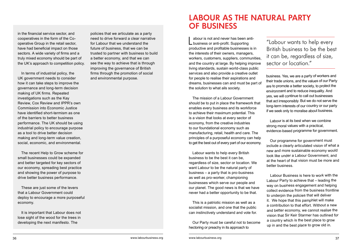in the financial service sector, and cooperatives in the form of the Cooperative Group in the retail sector, have had beneficial impact on those sectors. A wide variety of firms and a truly mixed economy should be part of the UK's approach to competition policy.

In terms of industrial policy, the UK government needs to consider how it can take steps to improve the governance and long-term decision making of UK firms. Repeated investigations such as the Kay Review, Cox Review and IPPR's own Commission into Economic Justice have identified short-termism as one of the barriers to better business performance. The UK should be using industrial policy to encourage purpose as a tool to drive better decision making and long-term value creation, social, economic, and environmental.

The recent Help to Grow scheme for small businesses could be expanded and better targeted for key sectors of our economy, spreading best practice and showing the power of purpose to drive better business performance.

These are just some of the levers that a Labour Government could deploy to encourage a more purposeful economy.

It is important that Labour does not lose sight of the wood for the trees in developing the next manifesto. The

policies that we articulate as a party need to drive forward a clear narrative for Labour that we understand the future of business, that we can be trusted to partner with business to build a better economy, and that we can see the way to achieve that is through improving the governance of British firms through the promotion of social and environmental purpose.

### LABOUR AS THE NATURAL PARTY OF BUSINESS

abour is not and never has been anti-<br>
business or anti-profit. Supporting productive and profitable businesses is in the interests of their owners, managers, workers, customers, suppliers, communities, and the country at large. By helping improve living standards, sustain world-class public services and also provide a creative outlet for people to realise their aspirations and dreams, businesses can and must be part of the solution to what ails society.

The mission of a Labour Government should be to put in place the framework that enables every business and its workforce to achieve their maximum potential. This is a vision that looks at every sector of economy, from the creative industries to our foundational economy such as manufacturing, retail, health and care. The principles of a purposeful economy can help to get the best out of every part of our economy.

Labour wants to help every British business to be the best it can be, regardless of size, sector or location. We want Labour to be the natural party of business – a party that is pro-business as well as pro-worker, championing businesses which serve our people and our planet. The good news is that we have never had a better opportunity to be that.

This is a patriotic mission as well as a socialist mission, and one that the public can instinctively understand and vote for.

Our Party must be careful not to become hectoring or preachy in its approach to

"Labour wants to help every British business to be the best it can be, regardless of size, sector or location."

business. Yes, we are a party of workers and their trade unions, and the values of our Party are to promote a better society, to protect the environment and to reduce inequality. And yes, we will continue to call out businesses that act irresponsibly. But we do not serve the long-term interests of our country or our party if we seek only to moralise about business.

Labour is at its best when we combine strong moral values with a practical, evidence-based programme for government.

Our programme for government must include a clearly articulated vision of what a new and more sustainable economy would look like under a Labour Government, and at the heart of that vision must be more and better business.

Labour Business is here to work with the Labour Party to achieve that – leading the way on business engagement and helping collect evidence from the business frontline to underpin the policies that will deliver it. We hope that this pamphlet will make a contribution to that effort. Without a new and better economy, we cannot realise the vision that Sir Keir Starmer has outlined for a country which is the best place to grow up in and the best place to grow old in.